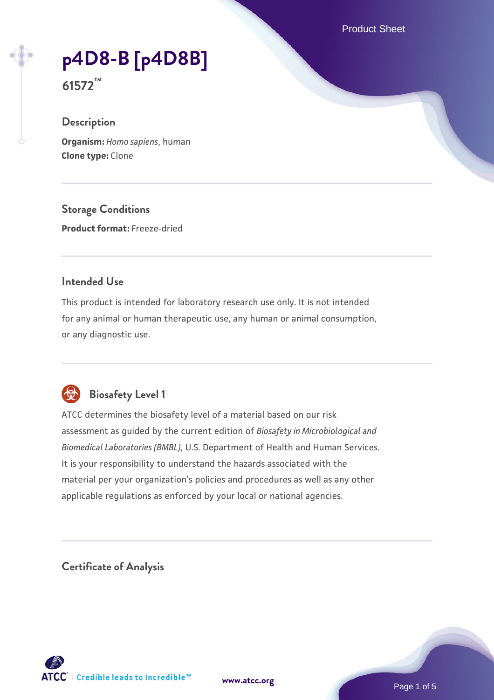Product Sheet

# **[p4D8-B \[p4D8B\]](https://www.atcc.org/products/61572)**

**61572™**

# **Description**

**Organism:** *Homo sapiens*, human **Clone type:** Clone

**Storage Conditions**

**Product format:** Freeze-dried

## **Intended Use**

This product is intended for laboratory research use only. It is not intended for any animal or human therapeutic use, any human or animal consumption, or any diagnostic use.



# **Biosafety Level 1**

ATCC determines the biosafety level of a material based on our risk assessment as guided by the current edition of *Biosafety in Microbiological and Biomedical Laboratories (BMBL)*, U.S. Department of Health and Human Services. It is your responsibility to understand the hazards associated with the material per your organization's policies and procedures as well as any other applicable regulations as enforced by your local or national agencies.

**Certificate of Analysis**

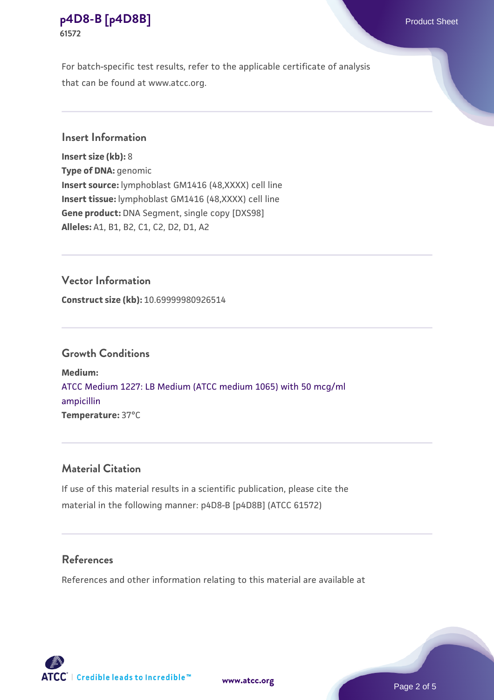For batch-specific test results, refer to the applicable certificate of analysis that can be found at www.atcc.org.

## **Insert Information**

**Insert size (kb):** 8 **Type of DNA:** genomic **Insert source:** lymphoblast GM1416 (48,XXXX) cell line **Insert tissue:** lymphoblast GM1416 (48,XXXX) cell line **Gene product:** DNA Segment, single copy [DXS98] **Alleles:** A1, B1, B2, C1, C2, D2, D1, A2

#### **Vector Information**

**Construct size (kb):** 10.69999980926514

#### **Growth Conditions**

**Medium:**  [ATCC Medium 1227: LB Medium \(ATCC medium 1065\) with 50 mcg/ml](https://www.atcc.org/-/media/product-assets/documents/microbial-media-formulations/1/2/2/7/atcc-medium-1227.pdf?rev=581c98603b3e4b29a6d62ee0ba9ca578) [ampicillin](https://www.atcc.org/-/media/product-assets/documents/microbial-media-formulations/1/2/2/7/atcc-medium-1227.pdf?rev=581c98603b3e4b29a6d62ee0ba9ca578) **Temperature:** 37°C

#### **Material Citation**

If use of this material results in a scientific publication, please cite the material in the following manner: p4D8-B [p4D8B] (ATCC 61572)

## **References**

References and other information relating to this material are available at

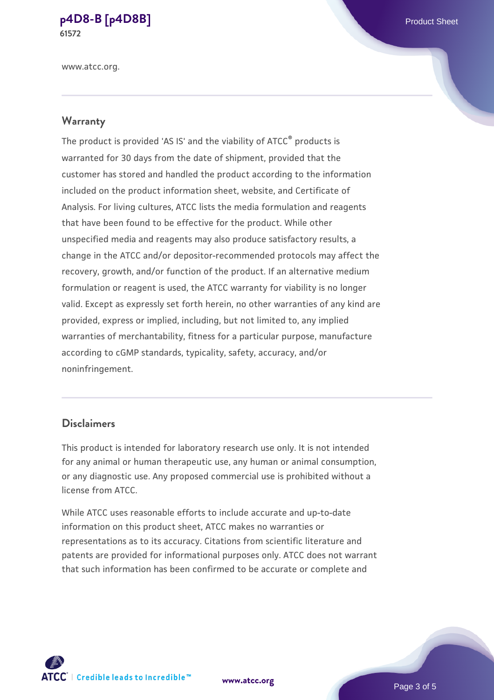www.atcc.org.

#### **Warranty**

The product is provided 'AS IS' and the viability of ATCC® products is warranted for 30 days from the date of shipment, provided that the customer has stored and handled the product according to the information included on the product information sheet, website, and Certificate of Analysis. For living cultures, ATCC lists the media formulation and reagents that have been found to be effective for the product. While other unspecified media and reagents may also produce satisfactory results, a change in the ATCC and/or depositor-recommended protocols may affect the recovery, growth, and/or function of the product. If an alternative medium formulation or reagent is used, the ATCC warranty for viability is no longer valid. Except as expressly set forth herein, no other warranties of any kind are provided, express or implied, including, but not limited to, any implied warranties of merchantability, fitness for a particular purpose, manufacture according to cGMP standards, typicality, safety, accuracy, and/or noninfringement.

#### **Disclaimers**

This product is intended for laboratory research use only. It is not intended for any animal or human therapeutic use, any human or animal consumption, or any diagnostic use. Any proposed commercial use is prohibited without a license from ATCC.

While ATCC uses reasonable efforts to include accurate and up-to-date information on this product sheet, ATCC makes no warranties or representations as to its accuracy. Citations from scientific literature and patents are provided for informational purposes only. ATCC does not warrant that such information has been confirmed to be accurate or complete and



**[www.atcc.org](http://www.atcc.org)**

Page 3 of 5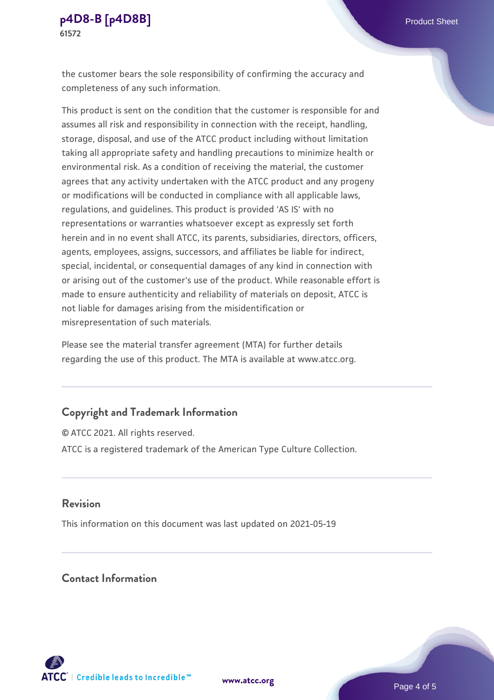the customer bears the sole responsibility of confirming the accuracy and completeness of any such information.

This product is sent on the condition that the customer is responsible for and assumes all risk and responsibility in connection with the receipt, handling, storage, disposal, and use of the ATCC product including without limitation taking all appropriate safety and handling precautions to minimize health or environmental risk. As a condition of receiving the material, the customer agrees that any activity undertaken with the ATCC product and any progeny or modifications will be conducted in compliance with all applicable laws, regulations, and guidelines. This product is provided 'AS IS' with no representations or warranties whatsoever except as expressly set forth herein and in no event shall ATCC, its parents, subsidiaries, directors, officers, agents, employees, assigns, successors, and affiliates be liable for indirect, special, incidental, or consequential damages of any kind in connection with or arising out of the customer's use of the product. While reasonable effort is made to ensure authenticity and reliability of materials on deposit, ATCC is not liable for damages arising from the misidentification or misrepresentation of such materials.

Please see the material transfer agreement (MTA) for further details regarding the use of this product. The MTA is available at www.atcc.org.

#### **Copyright and Trademark Information**

© ATCC 2021. All rights reserved. ATCC is a registered trademark of the American Type Culture Collection.

#### **Revision**

This information on this document was last updated on 2021-05-19

## **Contact Information**



**[www.atcc.org](http://www.atcc.org)**